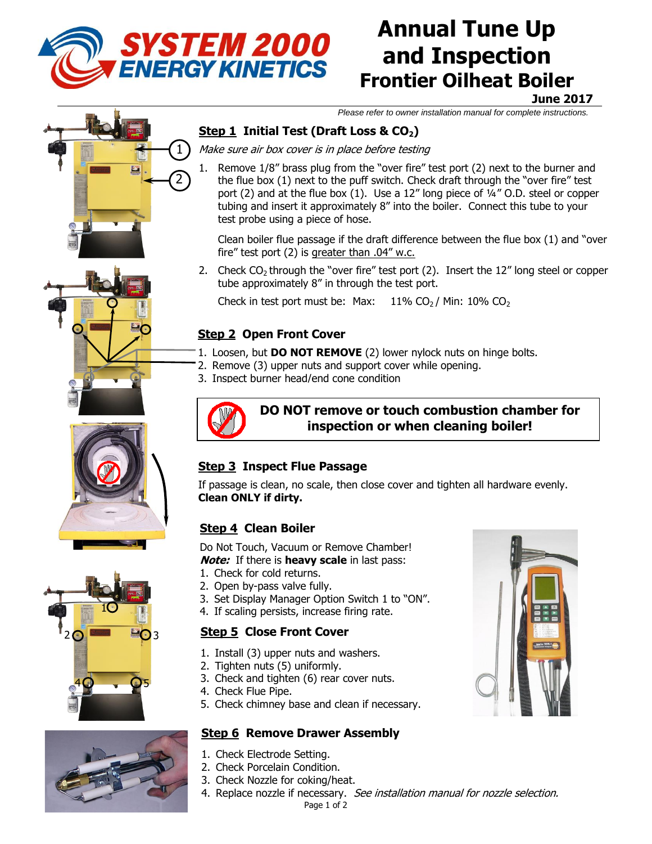

# **Annual Tune Up and Inspection Frontier Oilheat Boiler**

**June 2017**

*Please refer to owner installation manual for complete instructions.*

## Step 1 Initial Test (Draft Loss & CO<sub>2</sub>)

Make sure air box cover is in place before testing

Remove 1/8" brass plug from the "over fire" test port (2) next to the burner and the flue box (1) next to the puff switch. Check draft through the "over fire" test port (2) and at the flue box (1). Use a 12" long piece of 1/4" O.D. steel or copper tubing and insert it approximately 8" into the boiler. Connect this tube to your test probe using a piece of hose.

Clean boiler flue passage if the draft difference between the flue box (1) and "over fire" test port (2) is greater than .04" w.c.

2. Check  $CO<sub>2</sub>$  through the "over fire" test port (2). Insert the 12" long steel or copper tube approximately 8" in through the test port.

Check in test port must be: Max:  $11\%$  CO<sub>2</sub> / Min:  $10\%$  CO<sub>2</sub>

### **Step 2 Open Front Cover**

- 1. Loosen, but **DO NOT REMOVE** (2) lower nylock nuts on hinge bolts.
- 2. Remove (3) upper nuts and support cover while opening.
- 3. Inspect burner head/end cone condition



#### **DO NOT remove or touch combustion chamber for inspection or when cleaning boiler!**

#### **Step 3 Inspect Flue Passage**

If passage is clean, no scale, then close cover and tighten all hardware evenly. **Clean ONLY if dirty.**

#### **Step 4 Clean Boiler**

Do Not Touch, Vacuum or Remove Chamber! **Note:** If there is **heavy scale** in last pass:

- 1. Check for cold returns.
- 2. Open by-pass valve fully.
- 3. Set Display Manager Option Switch 1 to "ON".
- 4. If scaling persists, increase firing rate.

#### **Step 5 Close Front Cover**

- 1. Install (3) upper nuts and washers.
- 2. Tighten nuts (5) uniformly.
- 3. Check and tighten (6) rear cover nuts.
- 4. Check Flue Pipe.
- 5. Check chimney base and clean if necessary.

#### **Step 6 Remove Drawer Assembly**

- 1. Check Electrode Setting.
- 2. Check Porcelain Condition.
- 3. Check Nozzle for coking/heat.
- Page 1 of 2 4. Replace nozzle if necessary. See installation manual for nozzle selection.





 $40 \rightarrow \text{O}_5$ 







1

 $\odot$  3